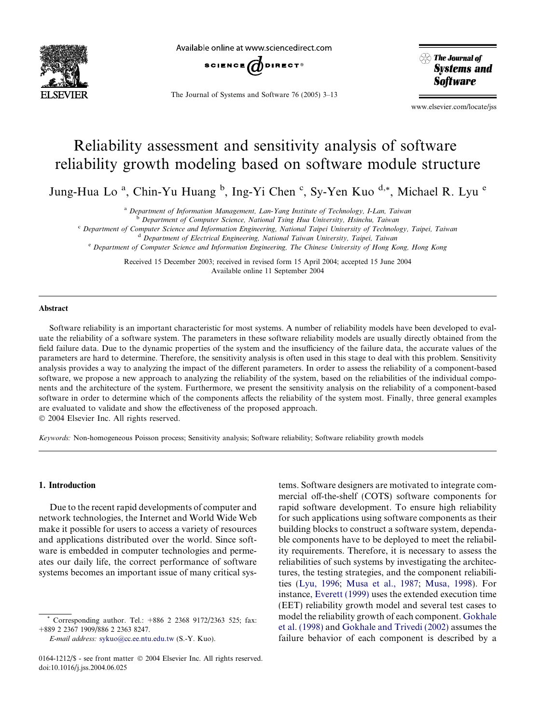

Available online at www.sciencedirect.com



The Journal of Systems and Software 76 (2005) 3–13

 $\otimes$  The Journal of **Systems and Software** 

www.elsevier.com/locate/jss

# Reliability assessment and sensitivity analysis of software reliability growth modeling based on software module structure

Jung-Hua Lo<sup>a</sup>, Chin-Yu Huang <sup>b</sup>, Ing-Yi Chen <sup>c</sup>, Sy-Yen Kuo <sup>d,\*</sup>, Michael R. Lyu <sup>e</sup>

<sup>a</sup> Department of Information Management, Lan-Yang Institute of Technology, I-Lan, Taiwan

<sup>b</sup> Department of Computer Science, National Tsing Hua University, Hsinchu, Taiwan

<sup>c</sup> Department of Computer Science and Information Engineering, National Taipei University of Technology, Taipei, Taiwan

<sup>d</sup> Department of Electrical Engineering, National Taiwan University, Taipei, Taiwan

<sup>e</sup> Department of Computer Science and Information Engineering, The Chinese University of Hong Kong, Hong Kong

Received 15 December 2003; received in revised form 15 April 2004; accepted 15 June 2004 Available online 11 September 2004

#### Abstract

Software reliability is an important characteristic for most systems. A number of reliability models have been developed to evaluate the reliability of a software system. The parameters in these software reliability models are usually directly obtained from the field failure data. Due to the dynamic properties of the system and the insufficiency of the failure data, the accurate values of the parameters are hard to determine. Therefore, the sensitivity analysis is often used in this stage to deal with this problem. Sensitivity analysis provides a way to analyzing the impact of the different parameters. In order to assess the reliability of a component-based software, we propose a new approach to analyzing the reliability of the system, based on the reliabilities of the individual components and the architecture of the system. Furthermore, we present the sensitivity analysis on the reliability of a component-based software in order to determine which of the components affects the reliability of the system most. Finally, three general examples are evaluated to validate and show the effectiveness of the proposed approach. 2004 Elsevier Inc. All rights reserved.

Keywords: Non-homogeneous Poisson process; Sensitivity analysis; Software reliability; Software reliability growth models

## 1. Introduction

Due to the recent rapid developments of computer and network technologies, the Internet and World Wide Web make it possible for users to access a variety of resources and applications distributed over the world. Since software is embedded in computer technologies and permeates our daily life, the correct performance of software systems becomes an important issue of many critical sys-

E-mail address: [sykuo@cc.ee.ntu.edu.tw](mailto:sykuo@cc.ee.ntu.edu.tw ) (S.-Y. Kuo).

tems. Software designers are motivated to integrate commercial off-the-shelf (COTS) software components for rapid software development. To ensure high reliability for such applications using software components as their building blocks to construct a software system, dependable components have to be deployed to meet the reliability requirements. Therefore, it is necessary to assess the reliabilities of such systems by investigating the architectures, the testing strategies, and the component reliabilities ([Lyu, 1996](#page-10-0); [Musa et al., 1987;](#page-10-0) [Musa, 1998\)](#page-10-0). For instance, [Everett \(1999\)](#page-10-0) uses the extended execution time (EET) reliability growth model and several test cases to model the reliability growth of each component. [Gokhale](#page-10-0) [et al. \(1998\)](#page-10-0) and [Gokhale and Trivedi \(2002\)](#page-10-0) assumes the failure behavior of each component is described by a

Corresponding author. Tel.:  $+886$  2 2368 9172/2363 525; fax: +889 2 2367 1909/886 2 2363 8247.

<sup>0164-1212/\$ -</sup> see front matter © 2004 Elsevier Inc. All rights reserved. doi:10.1016/j.jss.2004.06.025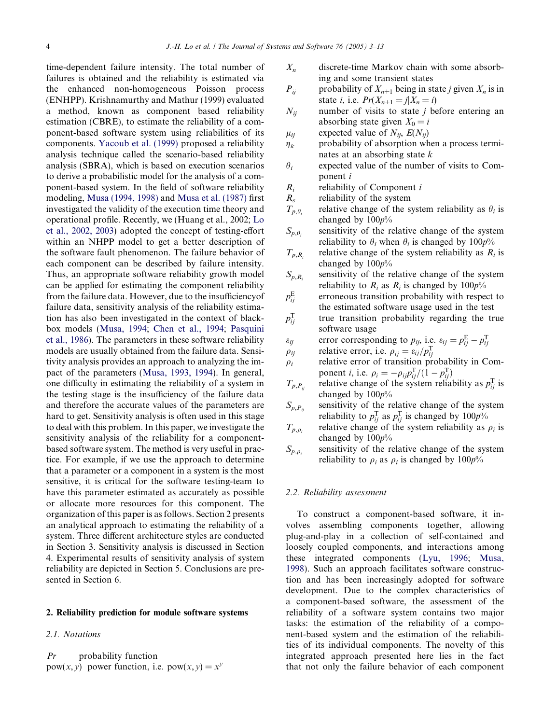time-dependent failure intensity. The total number of failures is obtained and the reliability is estimated via the enhanced non-homogeneous Poisson process (ENHPP). Krishnamurthy and Mathur (1999) evaluated a method, known as component based reliability estimation (CBRE), to estimate the reliability of a component-based software system using reliabilities of its components. [Yacoub et al. \(1999\)](#page-10-0) proposed a reliability analysis technique called the scenario-based reliability analysis (SBRA), which is based on execution scenarios to derive a probabilistic model for the analysis of a component-based system. In the field of software reliability modeling, [Musa \(1994, 1998\)](#page-10-0) and [Musa et al. \(1987\)](#page-10-0) first investigated the validity of the execution time theory and operational profile. Recently, we (Huang et al., 2002; [Lo](#page-10-0) [et al., 2002, 2003\)](#page-10-0) adopted the concept of testing-effort within an NHPP model to get a better description of the software fault phenomenon. The failure behavior of each component can be described by failure intensity. Thus, an appropriate software reliability growth model can be applied for estimating the component reliability from the failure data. However, due to the insufficiencyof failure data, sensitivity analysis of the reliability estimation has also been investigated in the context of blackbox models [\(Musa, 1994;](#page-10-0) [Chen et al., 1994;](#page-10-0) [Pasquini](#page-10-0) [et al., 1986\)](#page-10-0). The parameters in these software reliability models are usually obtained from the failure data. Sensitivity analysis provides an approach to analyzing the impact of the parameters [\(Musa, 1993, 1994](#page-10-0)). In general, one difficulty in estimating the reliability of a system in the testing stage is the insufficiency of the failure data and therefore the accurate values of the parameters are hard to get. Sensitivity analysis is often used in this stage to deal with this problem. In this paper, we investigate the sensitivity analysis of the reliability for a componentbased software system. The method is very useful in practice. For example, if we use the approach to determine that a parameter or a component in a system is the most sensitive, it is critical for the software testing-team to have this parameter estimated as accurately as possible or allocate more resources for this component. The organization of this paper is as follows. Section 2 presents an analytical approach to estimating the reliability of a system. Three different architecture styles are conducted in Section 3. Sensitivity analysis is discussed in Section 4. Experimental results of sensitivity analysis of system reliability are depicted in Section 5. Conclusions are presented in Section 6.

### 2. Reliability prediction for module software systems

#### 2.1. Notations

 $Pr$  probability function pow(x, y) power function, i.e.  $pow(x, y) = x^y$ 

- $X_n$  discrete-time Markov chain with some absorbing and some transient states
- $P_{ii}$  probability of  $X_{n+1}$  being in state *j* given  $X_n$  is in state *i*, i.e.  $Pr(X_{n+1} = j | X_n = i)$
- $N_{ij}$  number of visits to state *j* before entering an absorbing state given  $X_0 = i$
- $\mu_{ij}$  expected value of  $N_{ij}$ ,  $E(N_{ij})$
- $\eta_k$  probability of absorption when a process terminates at an absorbing state  $k$
- $\theta_i$  expected value of the number of visits to Component i
- $R_i$  reliability of Component i
- $R<sub>s</sub>$  reliability of the system
- $T_{p,\theta_i}$  relative change of the system reliability as  $\theta_i$  is changed by  $100p%$
- $S_{p,\theta_i}$  sensitivity of the relative change of the system reliability to  $\theta_i$ , when  $\theta_i$  is changed by 100p%
- $T_{p,R}$  relative change of the system reliability as  $R_i$  is changed by  $100p\%$
- $S_{p,R_i}$  sensitivity of the relative change of the system reliability to  $R_i$  as  $R_i$  is changed by  $100p\%$
- $p_{ii}^{\rm E}$ erroneous transition probability with respect to the estimated software usage used in the test
- $p_{ii}^{\rm T}$ true transition probability regarding the true software usage
- $\varepsilon_{ij}$  error corresponding to  $p_{ij}$ , i.e.  $\varepsilon_{ij} = p_{ij}^{\text{E}} p_{ij}^{\text{T}}$
- $\rho_{ij}$  relative error, i.e.  $\rho_{ij} = \varepsilon_{ij}/p_{ij}^{\rm T}$
- $\rho_i$  relative error of transition probability in Component *i*, i.e.  $\rho_i = -\rho_{ij} p_{ij}^{\text{T}} / (1 - p_{ij}^{\text{T}})$
- $T_{p,P_{ij}}$  relative change of the system reliability as  $p_{ij}^{\text{T}}$  is changed by  $100p\%$
- $S_{p,P_{ii}}$  sensitivity of the relative change of the system reliability to  $p_{ij}^{\mathrm{T}}$  as  $p_{ij}^{\mathrm{T}}$  is changed by  $100p\%$
- $T_{p,q}$  relative change of the system reliability as  $\rho_i$  is changed by  $100p\%$
- $S_{p,\rho}$  sensitivity of the relative change of the system reliability to  $\rho_i$  as  $\rho_i$  is changed by 100p%

## 2.2. Reliability assessment

To construct a component-based software, it involves assembling components together, allowing plug-and-play in a collection of self-contained and loosely coupled components, and interactions among these integrated components [\(Lyu, 1996](#page-10-0); [Musa,](#page-10-0) [1998\)](#page-10-0). Such an approach facilitates software construction and has been increasingly adopted for software development. Due to the complex characteristics of a component-based software, the assessment of the reliability of a software system contains two major tasks: the estimation of the reliability of a component-based system and the estimation of the reliabilities of its individual components. The novelty of this integrated approach presented here lies in the fact that not only the failure behavior of each component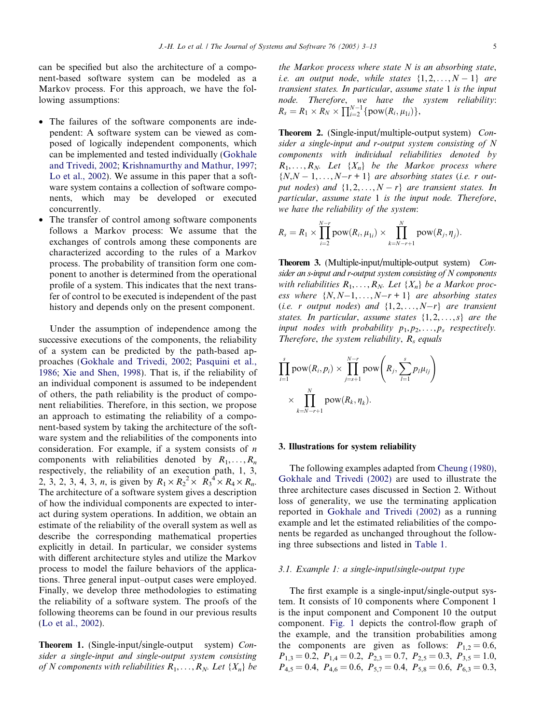can be specified but also the architecture of a component-based software system can be modeled as a Markov process. For this approach, we have the following assumptions:

- The failures of the software components are independent: A software system can be viewed as composed of logically independent components, which can be implemented and tested individually ([Gokhale](#page-10-0) [and Trivedi, 2002;](#page-10-0) [Krishnamurthy and Mathur, 1997;](#page-10-0) [Lo et al., 2002](#page-10-0)). We assume in this paper that a software system contains a collection of software components, which may be developed or executed concurrently.
- The transfer of control among software components follows a Markov process: We assume that the exchanges of controls among these components are characterized according to the rules of a Markov process. The probability of transition form one component to another is determined from the operational profile of a system. This indicates that the next transfer of control to be executed is independent of the past history and depends only on the present component.

Under the assumption of independence among the successive executions of the components, the reliability of a system can be predicted by the path-based approaches [\(Gokhale and Trivedi, 2002;](#page-10-0) [Pasquini et al.,](#page-10-0) [1986](#page-10-0); [Xie and Shen, 1998\)](#page-10-0). That is, if the reliability of an individual component is assumed to be independent of others, the path reliability is the product of component reliabilities. Therefore, in this section, we propose an approach to estimating the reliability of a component-based system by taking the architecture of the software system and the reliabilities of the components into consideration. For example, if a system consists of  $n$ components with reliabilities denoted by  $R_1, \ldots, R_n$ respectively, the reliability of an execution path, 1, 3, 2, 3, 2, 3, 4, 3, *n*, is given by  $R_1 \times R_2^2 \times R_3^4 \times R_4 \times R_n$ . The architecture of a software system gives a description of how the individual components are expected to interact during system operations. In addition, we obtain an estimate of the reliability of the overall system as well as describe the corresponding mathematical properties explicitly in detail. In particular, we consider systems with different architecture styles and utilize the Markov process to model the failure behaviors of the applications. Three general input–output cases were employed. Finally, we develop three methodologies to estimating the reliability of a software system. The proofs of the following theorems can be found in our previous results ([Lo et al., 2002\)](#page-10-0).

Theorem 1. (Single-input/single-output system) Consider a single-input and single-output system consisting of N components with reliabilities  $R_1, \ldots, R_N$ . Let  $\{X_n\}$  be the Markov process where state  $N$  is an absorbing state, i.e. an output node, while states  $\{1, 2, \ldots, N-1\}$  are transient states. In particular, assume state 1 is the input node. Therefore, we have the system reliability:<br> $R_s = R_1 \times R_N \times \prod_{i=2}^{N-1} \{pow(R_i, \mu_{1i})\},\$ 

Theorem 2. (Single-input/multiple-output system) Consider a single-input and r-output system consisting of N components with individual reliabilities denoted by  $R_1, \ldots, R_N$ . Let  $\{X_n\}$  be the Markov process where  $\{N, N-1, \ldots, N-r+1\}$  are absorbing states (i.e. r output nodes) and  $\{1, 2, ..., N - r\}$  are transient states. In particular, assume state 1 is the input node. Therefore, we have the reliability of the system:

$$
R_s = R_1 \times \prod_{i=2}^{N-r} \text{pow}(R_i, \mu_{1i}) \times \prod_{k=N-r+1}^{N} \text{pow}(R_j, \eta_j).
$$

Theorem 3. (Multiple-input/multiple-output system) Consider an s-input and r-output system consisting of N components with reliabilities  $R_1, \ldots, R_N$ . Let  $\{X_n\}$  be a Markov process where  $\{N, N-1, \ldots, N-r+1\}$  are absorbing states (i.e. r output nodes) and  $\{1, 2, ..., N-r\}$  are transient states. In particular, assume states  $\{1, 2, \ldots, s\}$  are the input nodes with probability  $p_1, p_2, \ldots, p_s$  respectively. Therefore, the system reliability,  $R_s$  equals

$$
\prod_{i=1}^{s} \text{pow}(R_i, p_i) \times \prod_{j=s+1}^{N-r} \text{pow}\left(R_j, \sum_{l=1}^{s} p_l \mu_{lj}\right)
$$

$$
\times \prod_{k=N-r+1}^{N} \text{pow}(R_k, \eta_k).
$$

#### 3. Illustrations for system reliability

The following examples adapted from [Cheung \(1980\),](#page-10-0) [Gokhale and Trivedi \(2002\)](#page-10-0) are used to illustrate the three architecture cases discussed in Section 2. Without loss of generality, we use the terminating application reported in [Gokhale and Trivedi \(2002\)](#page-10-0) as a running example and let the estimated reliabilities of the components be regarded as unchanged throughout the following three subsections and listed in [Table 1.](#page-3-0)

### 3.1. Example 1: a single-input/single-output type

The first example is a single-input/single-output system. It consists of 10 components where Component 1 is the input component and Component 10 the output component. [Fig. 1](#page-3-0) depicts the control-flow graph of the example, and the transition probabilities among the components are given as follows:  $P_{1,2} = 0.6$ ,  $P_{1,3} = 0.2, P_{1,4} = 0.2, P_{2,3} = 0.7, P_{2,5} = 0.3, P_{3,5} = 1.0,$  $P_{4,5} = 0.4$ ,  $P_{4,6} = 0.6$ ,  $P_{5,7} = 0.4$ ,  $P_{5,8} = 0.6$ ,  $P_{6,3} = 0.3$ ,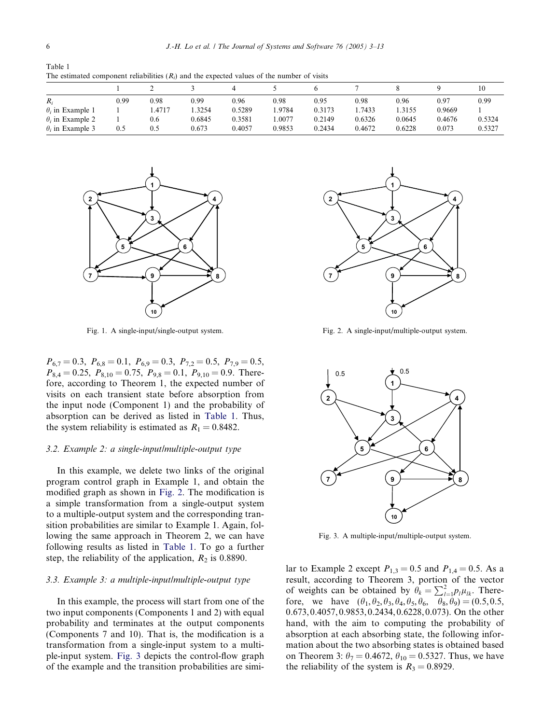<span id="page-3-0"></span>Table 1 The estimated component reliabilities  $(R_i)$  and the expected values of the number of visits

| $R_i$                   | 0.99 | 0.98   | 0.99   | 0.96   | 0.98   | 0.95   | 0.98   | 0.96   | 0.97   | 0.99   |
|-------------------------|------|--------|--------|--------|--------|--------|--------|--------|--------|--------|
| $\theta_i$ in Example 1 |      | 1.4717 | .3254  | 0.5289 | .9784  | 0.3173 | 1.7433 | .3155  | 0.9669 |        |
| $\theta_i$ in Example 2 |      | 0.6    | 0.6845 | 0.3581 | .0077  | 0.2149 | 0.6326 | 0.0645 | 0.4676 | 0.5324 |
| $\theta$ , in Example 3 | 0.5  | 0.5    | 0.673  | 0.4057 | 0.9853 | 0.2434 | 0.4672 | 0.6228 | 0.073  | 0.5327 |



Fig. 1. A single-input/single-output system.

 $P_{6,7} = 0.3$ ,  $P_{6,8} = 0.1$ ,  $P_{6,9} = 0.3$ ,  $P_{7,2} = 0.5$ ,  $P_{7,9} = 0.5$ ,  $P_{8,4} = 0.25, P_{8,10} = 0.75, P_{9,8} = 0.1, P_{9,10} = 0.9.$  Therefore, according to Theorem 1, the expected number of visits on each transient state before absorption from the input node (Component 1) and the probability of absorption can be derived as listed in Table 1. Thus, the system reliability is estimated as  $R_1 = 0.8482$ .

## 3.2. Example 2: a single-input/multiple-output type

In this example, we delete two links of the original program control graph in Example 1, and obtain the modified graph as shown in Fig. 2. The modification is a simple transformation from a single-output system to a multiple-output system and the corresponding transition probabilities are similar to Example 1. Again, following the same approach in Theorem 2, we can have following results as listed in Table 1. To go a further step, the reliability of the application,  $R_2$  is 0.8890.

## 3.3. Example 3: a multiple-input/multiple-output type

In this example, the process will start from one of the two input components (Components 1 and 2) with equal probability and terminates at the output components (Components 7 and 10). That is, the modification is a transformation from a single-input system to a multiple-input system. Fig. 3 depicts the control-flow graph of the example and the transition probabilities are simi-



Fig. 2. A single-input/multiple-output system.



Fig. 3. A multiple-input/multiple-output system.

lar to Example 2 except  $P_{1,3} = 0.5$  and  $P_{1,4} = 0.5$ . As a result, according to Theorem 3, portion of the vector of weights can be obtained by  $\theta_k = \sum_{i=1}^{2} p_i \mu_{ik}$ . Therefore, we have  $(\theta_1, \theta_2, \theta_3, \theta_4, \theta_5, \theta_6, \theta_8, \theta_9) = (0.5, 0.5,$ 0.673, 0.4057, 0.9853, 0.2434, 0.6228, 0.073). On the other hand, with the aim to computing the probability of absorption at each absorbing state, the following information about the two absorbing states is obtained based on Theorem 3:  $\theta_7 = 0.4672$ ,  $\theta_{10} = 0.5327$ . Thus, we have the reliability of the system is  $R_3 = 0.8929$ .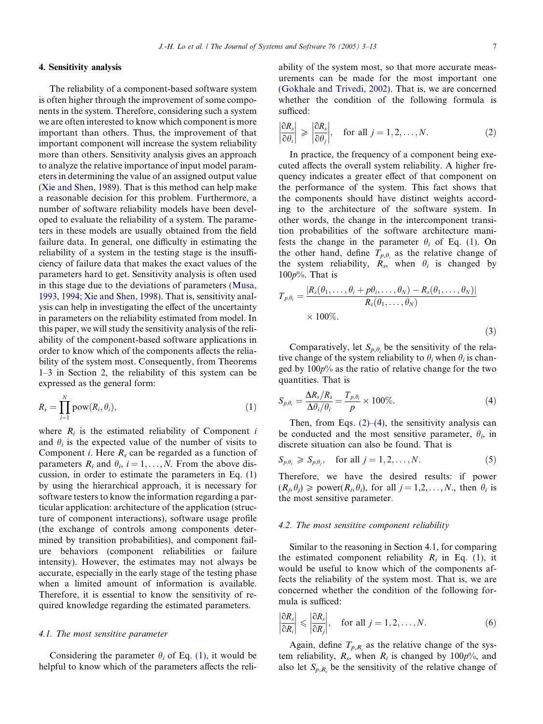## <span id="page-4-0"></span>4. Sensitivity analysis

The reliability of a component-based software system is often higher through the improvement of some components in the system. Therefore, considering such a system we are often interested to know which component is more important than others. Thus, the improvement of that important component will increase the system reliability more than others. Sensitivity analysis gives an approach to analyze the relative importance of input model parameters in determining the value of an assigned output value ([Xie and Shen, 1989\)](#page-10-0). That is this method can help make a reasonable decision for this problem. Furthermore, a number of software reliability models have been developed to evaluate the reliability of a system. The parameters in these models are usually obtained from the field failure data. In general, one difficulty in estimating the reliability of a system in the testing stage is the insufficiency of failure data that makes the exact values of the parameters hard to get. Sensitivity analysis is often used in this stage due to the deviations of parameters ([Musa,](#page-10-0) [1993, 1994](#page-10-0); [Xie and Shen, 1998](#page-10-0)). That is, sensitivity analysis can help in investigating the effect of the uncertainty in parameters on the reliability estimated from model. In this paper, we will study the sensitivity analysis of the reliability of the component-based software applications in order to know which of the components affects the reliability of the system most. Consequently, from Theorems 1–3 in Section 2, the reliability of this system can be expressed as the general form:

$$
R_s = \prod_{i=1}^N \text{pow}(R_i, \theta_i), \qquad (1)
$$

where  $R_i$  is the estimated reliability of Component i and  $\theta_i$  is the expected value of the number of visits to Component *i*. Here  $R_s$  can be regarded as a function of parameters  $R_i$  and  $\theta_i$ ,  $i = 1, \ldots, N$ . From the above discussion, in order to estimate the parameters in Eq. (1) by using the hierarchical approach, it is necessary for software testers to know the information regarding a particular application: architecture of the application (structure of component interactions), software usage profile (the exchange of controls among components determined by transition probabilities), and component failure behaviors (component reliabilities or failure intensity). However, the estimates may not always be accurate, especially in the early stage of the testing phase when a limited amount of information is available. Therefore, it is essential to know the sensitivity of required knowledge regarding the estimated parameters.

#### 4.1. The most sensitive parameter

Considering the parameter  $\theta_i$  of Eq. (1), it would be helpful to know which of the parameters affects the reliability of the system most, so that more accurate measurements can be made for the most important one ([Gokhale and Trivedi, 2002\)](#page-10-0). That is, we are concerned whether the condition of the following formula is sufficed:

$$
\left|\frac{\partial R_s}{\partial \theta_i}\right| \geqslant \left|\frac{\partial R_s}{\partial \theta_j}\right|, \quad \text{for all } j = 1, 2, \dots, N. \tag{2}
$$

In practice, the frequency of a component being executed affects the overall system reliability. A higher frequency indicates a greater effect of that component on the performance of the system. This fact shows that the components should have distinct weights according to the architecture of the software system. In other words, the change in the intercomponent transition probabilities of the software architecture manifests the change in the parameter  $\theta_i$  of Eq. (1). On the other hand, define  $T_{p,\theta_i}$  as the relative change of the system reliability,  $\overrightarrow{R_s}$ , when  $\theta_i$  is changed by  $100p\%$ . That is

$$
T_{p,\theta_i} = \frac{|R_s(\theta_1,\ldots,\theta_i+p\theta_i,\ldots,\theta_N)-R_s(\theta_1,\ldots,\theta_N)|}{R_s(\theta_1,\ldots,\theta_N)}
$$
  
× 100%. (3)

Comparatively, let  $S_{p,\theta_i}$  be the sensitivity of the relative change of the system reliability to  $\theta_i$  when  $\theta_i$  is changed by  $100p\%$  as the ratio of relative change for the two quantities. That is

$$
S_{p,\theta_i} = \frac{\Delta R_s / R_s}{\Delta \theta_i / \theta_i} = \frac{T_{p,\theta_i}}{p} \times 100\%.
$$
 (4)

Then, from Eqs.  $(2)$ – $(4)$ , the sensitivity analysis can be conducted and the most sensitive parameter,  $\theta_i$ , in discrete situation can also be found. That is

$$
S_{p,\theta_i} \geqslant S_{p,\theta_j}, \quad \text{for all } j = 1, 2, \dots, N. \tag{5}
$$

Therefore, we have the desired results: if power  $(R_i, \theta_i) \geq \text{power}(R_i, \theta_i)$ , for all  $j = 1, 2, ..., N$ , then  $\theta_i$  is the most sensitive parameter.

#### 4.2. The most sensitive component reliability

Similar to the reasoning in Section 4.1, for comparing the estimated component reliability  $R_i$  in Eq. (1), it would be useful to know which of the components affects the reliability of the system most. That is, we are concerned whether the condition of the following formula is sufficed:

$$
\left|\frac{\partial R_s}{\partial R_i}\right| \leqslant \left|\frac{\partial R_s}{\partial R_j}\right|, \quad \text{for all } j = 1, 2, \dots, N. \tag{6}
$$

Again, define  $T_{p,R_i}$  as the relative change of the system reliability,  $R_s$ , when  $R_i$  is changed by 100p%, and also let  $S_{p,R}$  be the sensitivity of the relative change of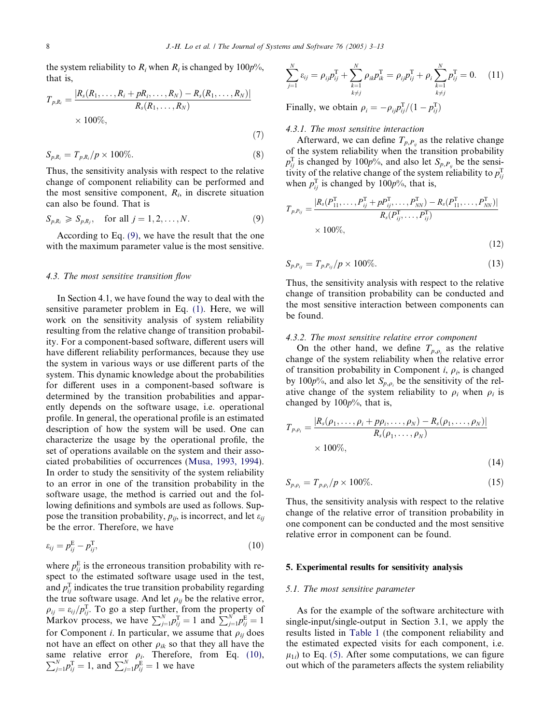<span id="page-5-0"></span>the system reliability to  $R_i$  when  $R_i$  is changed by 100 $p\%$ , that is,

$$
T_{p,R_i} = \frac{|R_s(R_1,\dots,R_i + pR_i,\dots,R_N) - R_s(R_1,\dots,R_N)|}{R_s(R_1,\dots,R_N)}
$$
  
× 100%, (7)

$$
S_{p,R_i} = T_{p,R_i}/p \times 100\%.
$$
 (8)

Thus, the sensitivity analysis with respect to the relative change of component reliability can be performed and the most sensitive component,  $R_i$ , in discrete situation can also be found. That is

$$
S_{p,R_i} \geqslant S_{p,R_j}, \quad \text{for all } j = 1, 2, \dots, N. \tag{9}
$$

According to Eq. (9), we have the result that the one with the maximum parameter value is the most sensitive.

## 4.3. The most sensitive transition flow

In Section 4.1, we have found the way to deal with the sensitive parameter problem in Eq. [\(1\).](#page-4-0) Here, we will work on the sensitivity analysis of system reliability resulting from the relative change of transition probability. For a component-based software, different users will have different reliability performances, because they use the system in various ways or use different parts of the system. This dynamic knowledge about the probabilities for different uses in a component-based software is determined by the transition probabilities and apparently depends on the software usage, i.e. operational profile. In general, the operational profile is an estimated description of how the system will be used. One can characterize the usage by the operational profile, the set of operations available on the system and their associated probabilities of occurrences [\(Musa, 1993, 1994\)](#page-10-0). In order to study the sensitivity of the system reliability to an error in one of the transition probability in the software usage, the method is carried out and the following definitions and symbols are used as follows. Suppose the transition probability,  $p_{ij}$ , is incorrect, and let  $\varepsilon_{ij}$ be the error. Therefore, we have

$$
\varepsilon_{ij} = p_{ij}^{\mathrm{E}} - p_{ij}^{\mathrm{T}},\tag{10}
$$

where  $p_{ij}^{\text{E}}$  is the erroneous transition probability with respect to the estimated software usage used in the test, and  $p_{ij}^{\rm T}$  indicates the true transition probability regarding the true software usage. And let  $\rho_{ij}$  be the relative error,  $\rho_{ij} = \varepsilon_{ij}/p_{ij}^{\text{T}}$ . To go a step further, from the property of Markov process, we have  $\sum_{j=1}^{N} p_{ij}^{\text{T}} = 1$  and  $\sum_{j=1}^{N} p_{ij}^{\text{E}} = 1$ for Component *i*. In particular, we assume that  $\rho_{ii}$  does not have an effect on other  $\rho_{ik}$  so that they all have the same relative error  $\rho_i$ . Therefore, from Eq. (10),  $\sum_{j=1}^{N} p_{ij}^{\text{T}} = 1$ , and  $\sum_{j=1}^{N} p_{ij}^{\text{E}} = 1$  we have

$$
\sum_{j=1}^{N} \varepsilon_{ij} = \rho_{ij} p_{ij}^{T} + \sum_{\substack{k=1 \ k \neq j}}^{N} \rho_{ik} p_{ik}^{T} = \rho_{ij} p_{ij}^{T} + \rho_i \sum_{\substack{k=1 \ k \neq j}}^{N} p_{ij}^{T} = 0.
$$
 (11)

Finally, we obtain  $\rho_i = -\rho_{ij} p_{ij}^{\mathrm{T}}/(1-p_{ij}^{\mathrm{T}})$ 

## 4.3.1. The most sensitive interaction

Afterward, we can define  $T_{p,P_{ii}}$  as the relative change of the system reliability when the transition probability  $p_{ij}^{\text{T}}$  is changed by 100p%, and also let  $S_{p,P_{ij}}$  be the sensitivity of the relative change of the system reliability to  $p_{ij}^{\text{T}}$ when  $p_{ij}^T$  is changed by 100 $p\%$ , that is,

$$
T_{p,P_{ij}} = \frac{|R_s(P_{11}^{\mathrm{T}}, \dots, P_{ij}^{\mathrm{T}} + pP_{ij}^{\mathrm{T}}, \dots, P_{NN}^{\mathrm{T}}) - R_s(P_{11}^{\mathrm{T}}, \dots, P_{NN}^{\mathrm{T}})|}{R_s(P_{ij}^{\mathrm{T}}, \dots, P_{ij}^{\mathrm{T}})}
$$
  
× 100%, (12)

$$
S_{p,P_{ij}} = T_{p,P_{ij}}/p \times 100\%.\tag{13}
$$

Thus, the sensitivity analysis with respect to the relative change of transition probability can be conducted and the most sensitive interaction between components can be found.

### 4.3.2. The most sensitive relative error component

On the other hand, we define  $T_{p,\rho_i}$  as the relative change of the system reliability when the relative error of transition probability in Component *i*,  $\rho_i$ , is changed by 100 $p\%$ , and also let  $S_{p,\rho_i}$  be the sensitivity of the relative change of the system reliability to  $\rho_i$  when  $\rho_i$  is changed by  $100p\%$ , that is,

$$
T_{p,\rho_i} = \frac{|R_s(\rho_1, \dots, \rho_i + p\rho_i, \dots, \rho_N) - R_s(\rho_1, \dots, \rho_N)|}{R_s(\rho_1, \dots, \rho_N)}
$$
  
× 100%, (14)

$$
S_{p,\rho_i} = T_{p,\rho_i}/p \times 100\%.
$$
 (15)

Thus, the sensitivity analysis with respect to the relative change of the relative error of transition probability in one component can be conducted and the most sensitive relative error in component can be found.

#### 5. Experimental results for sensitivity analysis

### 5.1. The most sensitive parameter

As for the example of the software architecture with single-input/single-output in Section 3.1, we apply the results listed in [Table 1](#page-3-0) (the component reliability and the estimated expected visits for each component, i.e.  $\mu_{1i}$ ) to Eq. [\(5\).](#page-4-0) After some computations, we can figure out which of the parameters affects the system reliability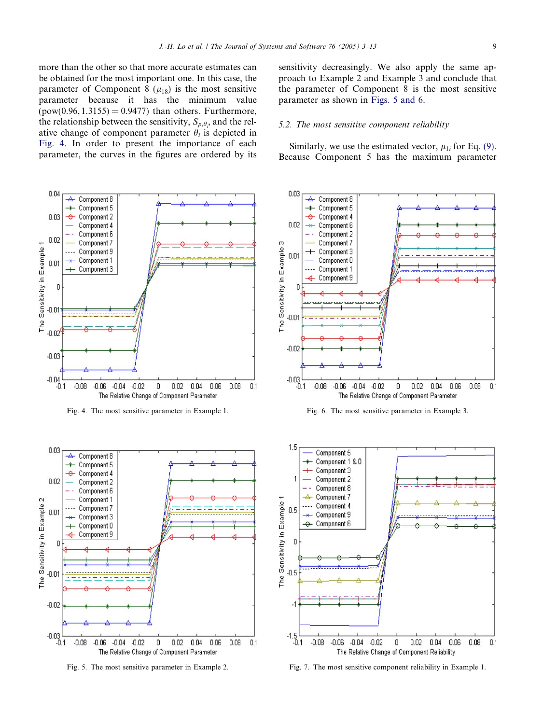<span id="page-6-0"></span>more than the other so that more accurate estimates can be obtained for the most important one. In this case, the parameter of Component 8  $(\mu_{18})$  is the most sensitive parameter because it has the minimum value  $(pow(0.96, 1.3155) = 0.9477)$  than others. Furthermore, the relationship between the sensitivity,  $S_{p,\theta_i}$ , and the relative change of component parameter  $\theta_i$  is depicted in Fig. 4. In order to present the importance of each parameter, the curves in the figures are ordered by its

 $0.04$  $\overline{\mathbf{A}}$ Component 8 Component 5  $0.03$  $\rightarrow$ Component 2 Component 4 Component 6  $0.02$ Component 7 The Sensitivity in Example 1 Component 9 . . . . Component 1  $0.01$ Component 3  $\sqrt{2}$  $-0.0$  $-0.02$  $-0.03$  $-0.04$  $-0.1$  $-0.04$  $-0.02$  $0.02$  $0.08$  $0.1$  $-0.08$  $-0.06$ 0  $0.04$  $0.06$ The Relative Change of Component Parameter

Fig. 4. The most sensitive parameter in Example 1. Fig. 6. The most sensitive parameter in Example 3.



Fig. 5. The most sensitive parameter in Example 2.

sensitivity decreasingly. We also apply the same approach to Example 2 and Example 3 and conclude that the parameter of Component 8 is the most sensitive parameter as shown in Figs. 5 and 6.

#### 5.2. The most sensitive component reliability

Similarly, we use the estimated vector,  $\mu_{1i}$  for Eq. [\(9\).](#page-5-0) Because Component 5 has the maximum parameter







Fig. 7. The most sensitive component reliability in Example 1.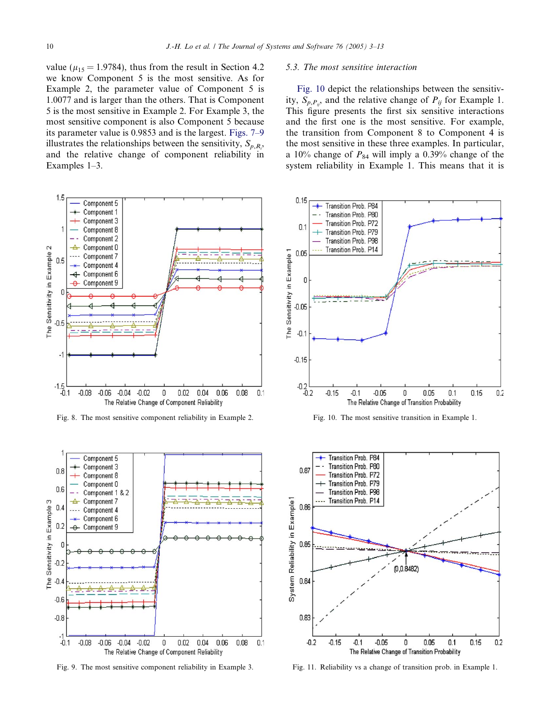<span id="page-7-0"></span>value ( $\mu_{15}$  = 1.9784), thus from the result in Section 4.2 we know Component 5 is the most sensitive. As for Example 2, the parameter value of Component 5 is 1.0077 and is larger than the others. That is Component 5 is the most sensitive in Example 2. For Example 3, the most sensitive component is also Component 5 because its parameter value is 0.9853 and is the largest. [Figs. 7–9](#page-6-0) illustrates the relationships between the sensitivity,  $S_{p,R_i}$ , and the relative change of component reliability in Examples 1–3.



Fig. 8. The most sensitive component reliability in Example 2.



Fig. 9. The most sensitive component reliability in Example 3.

## 5.3. The most sensitive interaction

Fig. 10 depict the relationships between the sensitivity,  $S_{p,P_{ij}}$  and the relative change of  $P_{ij}$  for Example 1. This figure presents the first six sensitive interactions and the first one is the most sensitive. For example, the transition from Component 8 to Component 4 is the most sensitive in these three examples. In particular, a 10% change of  $P_{84}$  will imply a 0.39% change of the system reliability in Example 1. This means that it is



Fig. 10. The most sensitive transition in Example 1.



Fig. 11. Reliability vs a change of transition prob. in Example 1.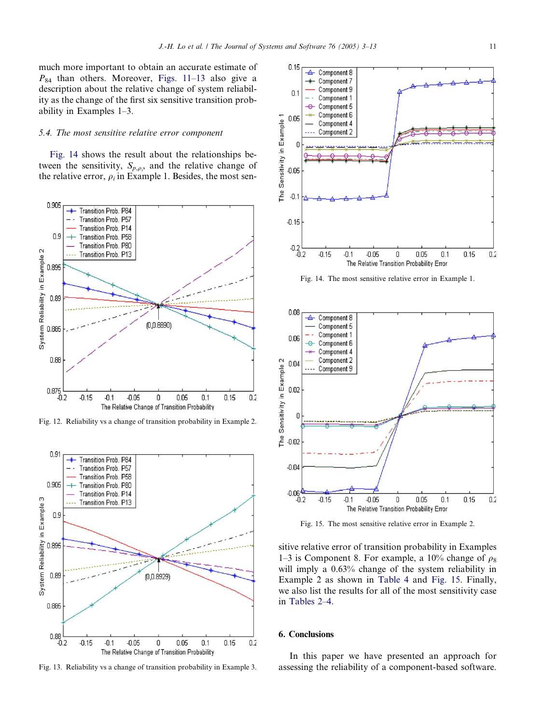much more important to obtain an accurate estimate of  $P_{84}$  than others. Moreover, [Figs. 11–13](#page-7-0) also give a description about the relative change of system reliability as the change of the first six sensitive transition probability in Examples 1–3.

#### 5.4. The most sensitive relative error component

Fig. 14 shows the result about the relationships between the sensitivity,  $S_{p,\rho,\gamma}$  and the relative change of the relative error,  $\rho_i$  in Example 1. Besides, the most sen-



Fig. 12. Reliability vs a change of transition probability in Example 2.





Fig. 14. The most sensitive relative error in Example 1.



Fig. 15. The most sensitive relative error in Example 2.

sitive relative error of transition probability in Examples 1–3 is Component 8. For example, a 10% change of  $\rho_8$ will imply a 0.63% change of the system reliability in Example 2 as shown in [Table 4](#page-9-0) and Fig. 15. Finally, we also list the results for all of the most sensitivity case in [Tables 2–4](#page-9-0).

#### 6. Conclusions

In this paper we have presented an approach for Fig. 13. Reliability vs a change of transition probability in Example 3. assessing the reliability of a component-based software.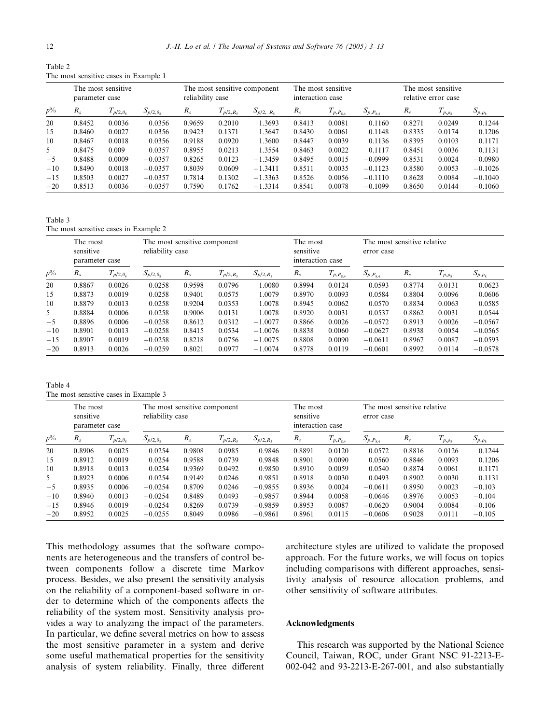<span id="page-9-0"></span>Table 2 The most sensitive cases in Example 1

|       | The most sensitive<br>parameter case |                    |                    |         | The most sensitive component<br>reliability case |                |         | The most sensitive<br>interaction case |                 |         | The most sensitive<br>relative error case |                |  |
|-------|--------------------------------------|--------------------|--------------------|---------|--------------------------------------------------|----------------|---------|----------------------------------------|-----------------|---------|-------------------------------------------|----------------|--|
| $p\%$ | $R_{s}$                              | $I_{p/2,\theta_8}$ | $S_{p/2,\theta_8}$ | $R_{s}$ | $p/2, R_5$                                       | $S_{p/2, R_5}$ | $R_{s}$ | $I_{p,P_{8,4}}$                        | $S_{p,P_{8,4}}$ | $R_{s}$ | $I_{p,\rho_8}$                            | $S_{p,\rho_8}$ |  |
| 20    | 0.8452                               | 0.0036             | 0.0356             | 0.9659  | 0.2010                                           | 1.3693         | 0.8413  | 0.0081                                 | 0.1160          | 0.8271  | 0.0249                                    | 0.1244         |  |
| 15    | 0.8460                               | 0.0027             | 0.0356             | 0.9423  | 0.1371                                           | 1.3647         | 0.8430  | 0.0061                                 | 0.1148          | 0.8335  | 0.0174                                    | 0.1206         |  |
| 10    | 0.8467                               | 0.0018             | 0.0356             | 0.9188  | 0.0920                                           | 1.3600         | 0.8447  | 0.0039                                 | 0.1136          | 0.8395  | 0.0103                                    | 0.1171         |  |
| 5     | 0.8475                               | 0.009              | 0.0357             | 0.8955  | 0.0213                                           | 1.3554         | 0.8463  | 0.0022                                 | 0.1117          | 0.8451  | 0.0036                                    | 0.1131         |  |
| $-5$  | 0.8488                               | 0.0009             | $-0.0357$          | 0.8265  | 0.0123                                           | $-1.3459$      | 0.8495  | 0.0015                                 | $-0.0999$       | 0.8531  | 0.0024                                    | $-0.0980$      |  |
| $-10$ | 0.8490                               | 0.0018             | $-0.0357$          | 0.8039  | 0.0609                                           | $-1.3411$      | 0.8511  | 0.0035                                 | $-0.1123$       | 0.8580  | 0.0053                                    | $-0.1026$      |  |
| $-15$ | 0.8503                               | 0.0027             | $-0.0357$          | 0.7814  | 0.1302                                           | $-1.3363$      | 0.8526  | 0.0056                                 | $-0.1110$       | 0.8628  | 0.0084                                    | $-0.1040$      |  |
| $-20$ | 0.8513                               | 0.0036             | $-0.0357$          | 0.7590  | 0.1762                                           | $-1.3314$      | 0.8541  | 0.0078                                 | $-0.1099$       | 0.8650  | 0.0144                                    | $-0.1060$      |  |

Table 3 The most sensitive cases in Example 2

|       | The most<br>sensitive<br>parameter case |                            | reliability case   | The most sensitive component<br>The most<br>sensitive<br>interaction case |            |                |         | The most sensitive relative<br>error case |                 |         |                |                            |
|-------|-----------------------------------------|----------------------------|--------------------|---------------------------------------------------------------------------|------------|----------------|---------|-------------------------------------------|-----------------|---------|----------------|----------------------------|
| $p\%$ | $R_{s}$                                 | $p/2, \theta$ <sub>s</sub> | $S_{p/2,\theta_8}$ | $R_{s}$                                                                   | $p/2, R_5$ | $S_{p/2, R_5}$ | $R_{s}$ | $I_{p,P_{8,4}}$                           | $S_{p,P_{8,4}}$ | $R_{s}$ | $I_{p,\rho_8}$ | $S_{\underline{p},\rho_8}$ |
| 20    | 0.8867                                  | 0.0026                     | 0.0258             | 0.9598                                                                    | 0.0796     | 1.0080         | 0.8994  | 0.0124                                    | 0.0593          | 0.8774  | 0.0131         | 0.0623                     |
| 15    | 0.8873                                  | 0.0019                     | 0.0258             | 0.9401                                                                    | 0.0575     | 1.0079         | 0.8970  | 0.0093                                    | 0.0584          | 0.8804  | 0.0096         | 0.0606                     |
| 10    | 0.8879                                  | 0.0013                     | 0.0258             | 0.9204                                                                    | 0.0353     | 1.0078         | 0.8945  | 0.0062                                    | 0.0570          | 0.8834  | 0.0063         | 0.0585                     |
| 5     | 0.8884                                  | 0.0006                     | 0.0258             | 0.9006                                                                    | 0.0131     | 1.0078         | 0.8920  | 0.0031                                    | 0.0537          | 0.8862  | 0.0031         | 0.0544                     |
| $-5$  | 0.8896                                  | 0.0006                     | $-0.0258$          | 0.8612                                                                    | 0.0312     | $-1.0077$      | 0.8866  | 0.0026                                    | $-0.0572$       | 0.8913  | 0.0026         | $-0.0567$                  |
| $-10$ | 0.8901                                  | 0.0013                     | $-0.0258$          | 0.8415                                                                    | 0.0534     | $-1.0076$      | 0.8838  | 0.0060                                    | $-0.0627$       | 0.8938  | 0.0054         | $-0.0565$                  |
| $-15$ | 0.8907                                  | 0.0019                     | $-0.0258$          | 0.8218                                                                    | 0.0756     | $-1.0075$      | 0.8808  | 0.0090                                    | $-0.0611$       | 0.8967  | 0.0087         | $-0.0593$                  |
| $-20$ | 0.8913                                  | 0.0026                     | $-0.0259$          | 0.8021                                                                    | 0.0977     | $-1.0074$      | 0.8778  | 0.0119                                    | $-0.0601$       | 0.8992  | 0.0114         | $-0.0578$                  |

Table 4 The most sensitive cases in Example 3

|       | The most<br>sensitive<br>parameter case |                    | reliability case         | The most sensitive component |               |               |         | The most<br>sensitive<br>error case<br>interaction case |                 |         | The most sensitive relative |                |  |
|-------|-----------------------------------------|--------------------|--------------------------|------------------------------|---------------|---------------|---------|---------------------------------------------------------|-----------------|---------|-----------------------------|----------------|--|
| $p\%$ | $R_{s}$                                 | $I_{p/2,\theta_8}$ | $S_{p/2,\theta_{\rm s}}$ | $R_{s}$                      | $I_{p/2,R_5}$ | $S_{p/2,R_5}$ | $R_{s}$ | $T_{p,P_{8,4}}$                                         | $S_{p,P_{8,4}}$ | $R_{s}$ | $I_{p,\rho_8}$              | $S_{p,\rho_8}$ |  |
| 20    | 0.8906                                  | 0.0025             | 0.0254                   | 0.9808                       | 0.0985        | 0.9846        | 0.8891  | 0.0120                                                  | 0.0572          | 0.8816  | 0.0126                      | 0.1244         |  |
| 15    | 0.8912                                  | 0.0019             | 0.0254                   | 0.9588                       | 0.0739        | 0.9848        | 0.8901  | 0.0090                                                  | 0.0560          | 0.8846  | 0.0093                      | 0.1206         |  |
| 10    | 0.8918                                  | 0.0013             | 0.0254                   | 0.9369                       | 0.0492        | 0.9850        | 0.8910  | 0.0059                                                  | 0.0540          | 0.8874  | 0.0061                      | 0.1171         |  |
| 5     | 0.8923                                  | 0.0006             | 0.0254                   | 0.9149                       | 0.0246        | 0.9851        | 0.8918  | 0.0030                                                  | 0.0493          | 0.8902  | 0.0030                      | 0.1131         |  |
| $-5$  | 0.8935                                  | 0.0006             | $-0.0254$                | 0.8709                       | 0.0246        | $-0.9855$     | 0.8936  | 0.0024                                                  | $-0.0611$       | 0.8950  | 0.0023                      | $-0.103$       |  |
| $-10$ | 0.8940                                  | 0.0013             | $-0.0254$                | 0.8489                       | 0.0493        | $-0.9857$     | 0.8944  | 0.0058                                                  | $-0.0646$       | 0.8976  | 0.0053                      | $-0.104$       |  |
| $-15$ | 0.8946                                  | 0.0019             | $-0.0254$                | 0.8269                       | 0.0739        | $-0.9859$     | 0.8953  | 0.0087                                                  | $-0.0620$       | 0.9004  | 0.0084                      | $-0.106$       |  |
| $-20$ | 0.8952                                  | 0.0025             | $-0.0255$                | 0.8049                       | 0.0986        | $-0.9861$     | 0.8961  | 0.0115                                                  | $-0.0606$       | 0.9028  | 0.0111                      | $-0.105$       |  |

This methodology assumes that the software components are heterogeneous and the transfers of control between components follow a discrete time Markov process. Besides, we also present the sensitivity analysis on the reliability of a component-based software in order to determine which of the components affects the reliability of the system most. Sensitivity analysis provides a way to analyzing the impact of the parameters. In particular, we define several metrics on how to assess the most sensitive parameter in a system and derive some useful mathematical properties for the sensitivity analysis of system reliability. Finally, three different

architecture styles are utilized to validate the proposed approach. For the future works, we will focus on topics including comparisons with different approaches, sensitivity analysis of resource allocation problems, and other sensitivity of software attributes.

## Acknowledgments

This research was supported by the National Science Council, Taiwan, ROC, under Grant NSC 91-2213-E-002-042 and 93-2213-E-267-001, and also substantially